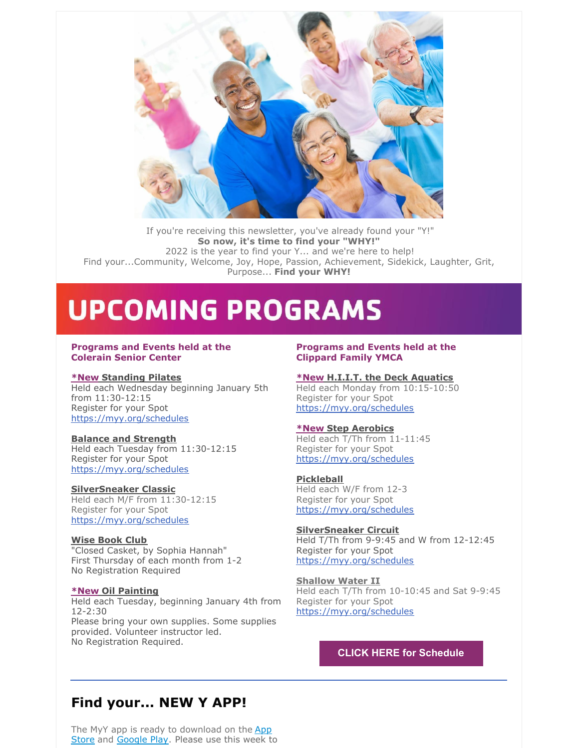

If you're receiving this newsletter, you've already found your "Y!" **So now, it's time to find your "WHY!"** 2022 is the year to find your Y... and we're here to help! Find your...Community, Welcome, Joy, Hope, Passion, Achievement, Sidekick, Laughter, Grit, Purpose... **Find your WHY!**

# **UPCOMING PROGRAMS**

#### **Programs and Events held at the Colerain Senior Center**

#### **\*New Standing Pilates**

Held each Wednesday beginning January 5th from 11:30-12:15 Register for your Spot [https://myy.org/schedules](mailto:ndashley@myy.org)

#### **Balance and Strength**

Held each Tuesday from 11:30-12:15 Register for your Spot [https://myy.org/schedules](mailto:ndashley@myy.org)

#### **SilverSneaker Classic**

Held each M/F from 11:30-12:15 Register for your Spot [https://myy.org/schedules](mailto:ndashley@myy.org)

#### **Wise Book Club** "Closed Casket, by Sophia Hannah" First Thursday of each month from 1-2 No Registration Required

### **\*New Oil Painting**

Held each Tuesday, beginning January 4th from 12-2:30 Please bring your own supplies. Some supplies provided. Volunteer instructor led. No Registration Required.

#### **Programs and Events held at the Clippard Family YMCA**

#### **\*New H.I.I.T. the Deck Aquatics**

Held each Monday from 10:15-10:50 Register for your Spot [https://myy.org/schedules](mailto:ndashley@myy.org)

#### **\*New Step Aerobics**

Held each T/Th from 11-11:45 Register for your Spot [https://myy.org/schedules](mailto:ndashley@myy.org)

#### **Pickleball**

Held each W/F from 12-3 Register for your Spot [https://myy.org/schedules](mailto:ndashley@myy.org)

**SilverSneaker Circuit** Held T/Th from 9-9:45 and W from 12-12:45 Register for your Spot [https://myy.org/schedules](mailto:ndashley@myy.org)

**Shallow Water II** Held each T/Th from 10-10:45 and Sat 9-9:45 Register for your Spot [https://myy.org/schedules](mailto:ndashley@myy.org)

## **CLICK HERE for [Schedule](https://files.constantcontact.com/18ccf499301/3b15587a-e516-4cc5-96c8-fcd62183487a.pdf)**

# **Find your... NEW Y APP!**

The MyY app is ready to [download](https://apps.apple.com/us/app/ymca-of-greater-cincinnati/id1570678479) on the App Store and [Google](https://play.google.com/store/apps/details?id=com.netpulse.mobile.ymcacincinnati) Play. Please use this week to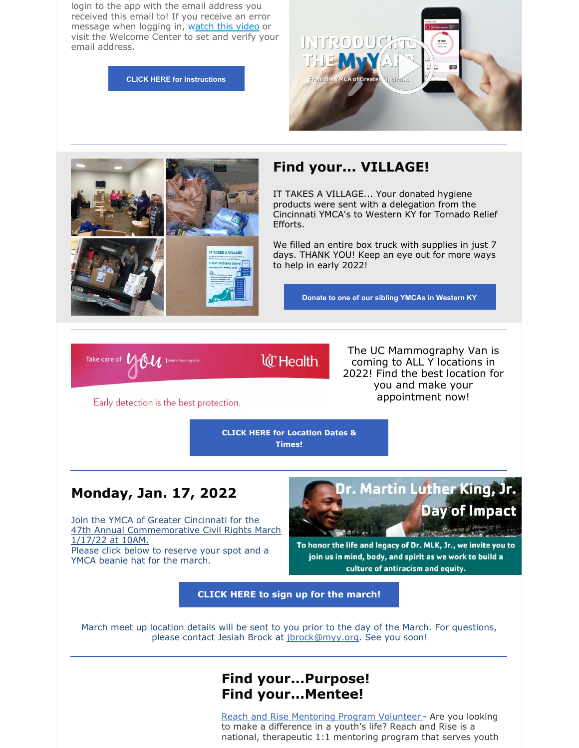login to the app with the email address you received this email to! If you receive an error message when logging in, watch this [video](https://youtu.be/GuTOrSucdMM) or visit the Welcome Center to set and verify your email address.

**CLICK HERE for [Instructions](https://files.constantcontact.com/18ccf499301/d0fc4d2b-ee07-4fcc-8d6b-d1e7fed47cd3.pdf)**





## **Find your... VILLAGE!**

IT TAKES A VILLAGE... Your donated hygiene products were sent with a delegation from the Cincinnati YMCA's to Western KY for Tornado Relief Efforts.

We filled an entire box truck with supplies in just 7 days. THANK YOU! Keep an eye out for more ways to help in early 2022!

**Donate to one of our sibling YMCAs in [Western](https://www.hopkinscountyymca.com/index.php/donate?fbclid=IwAR1-2ZUCfI58dwAQcReDVssvMcNt1Hssg1K7RqMKIs2MESPba6MEoNjuZ7E) KY**

Take care of  $U(0u)$ 

**W** Health

The UC Mammography Van is coming to ALL Y locations in 2022! Find the best location for you and make your appointment now!

Early detection is the best protection.

**CLICK HERE for Location Dates & Times!**

## **Monday, Jan. 17, 2022**

Join the YMCA of Greater Cincinnati for the 47th Annual [Commemorative](https://files.constantcontact.com/18ccf499301/03e080f0-0f89-4701-9bbb-9e875e56f946.pdf) Civil Rights March 1/17/22 at 10AM. Please click below to reserve your spot and a YMCA beanie hat for the march.



To honor the life and legacy of Dr. MLK, Jr., we invite you to join us in mind, body, and spirit as we work to build a culture of antiracism and equity.

**CLICK HERE to sign up for the [march!](https://myy.org/better-us)**

March meet up location details will be sent to you prior to the day of the March. For questions, please contact Jesiah Brock at [jbrock@myy.org](mailto:jbrock@myy.org). See you soon!

## **Find your...Purpose! Find your...Mentee!**

Reach and Rise [Mentoring](https://cincinnatiymca.volunteermatters.org/project-catalog/736) Program Volunteer - Are you looking to make a difference in a youth's life? Reach and Rise is a national, therapeutic 1:1 mentoring program that serves youth